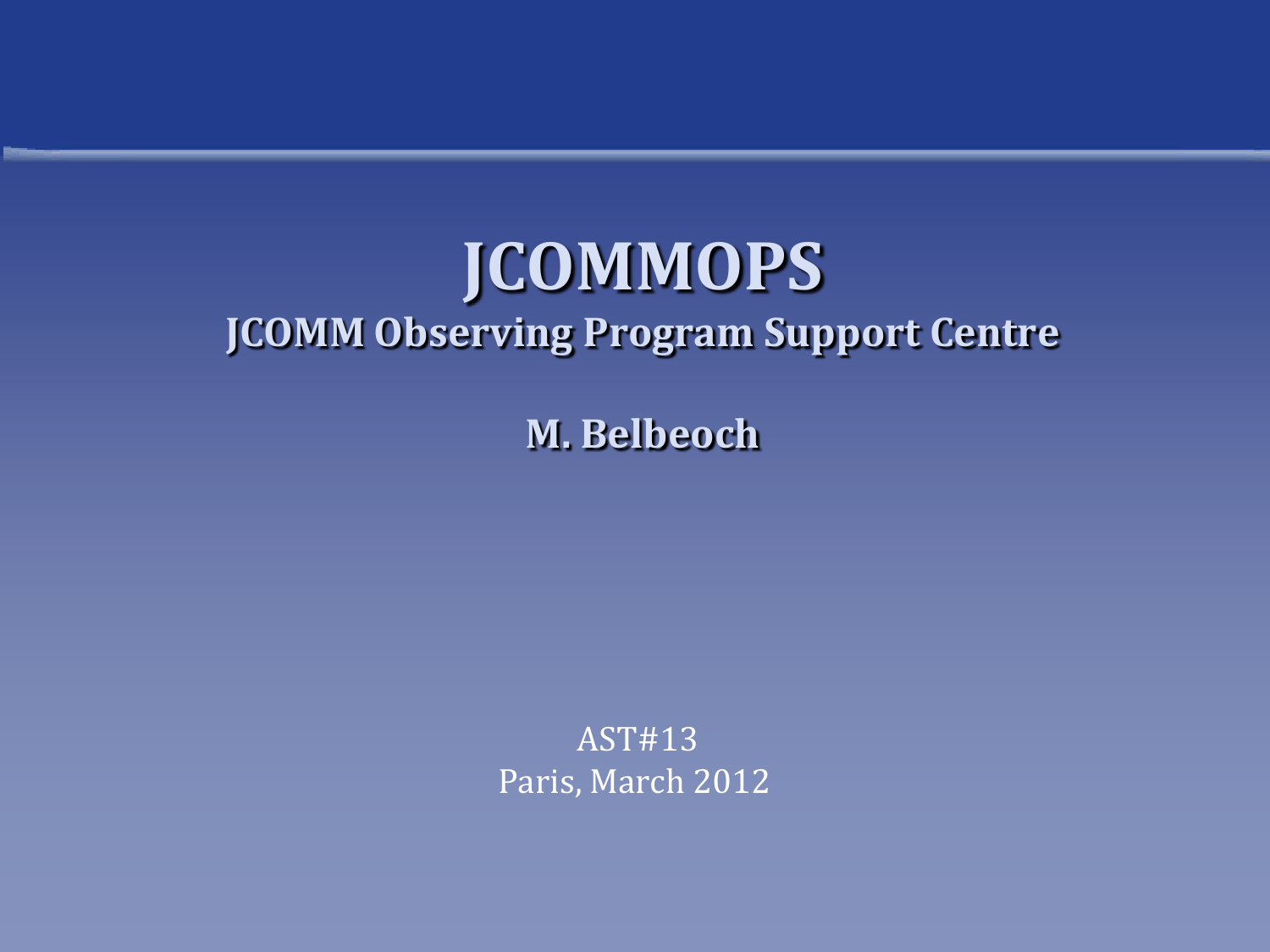## **JCOMMOPS JCOMM Observing Program Support Centre**

**M. Belbeoch**

AST#13 Paris, March 2012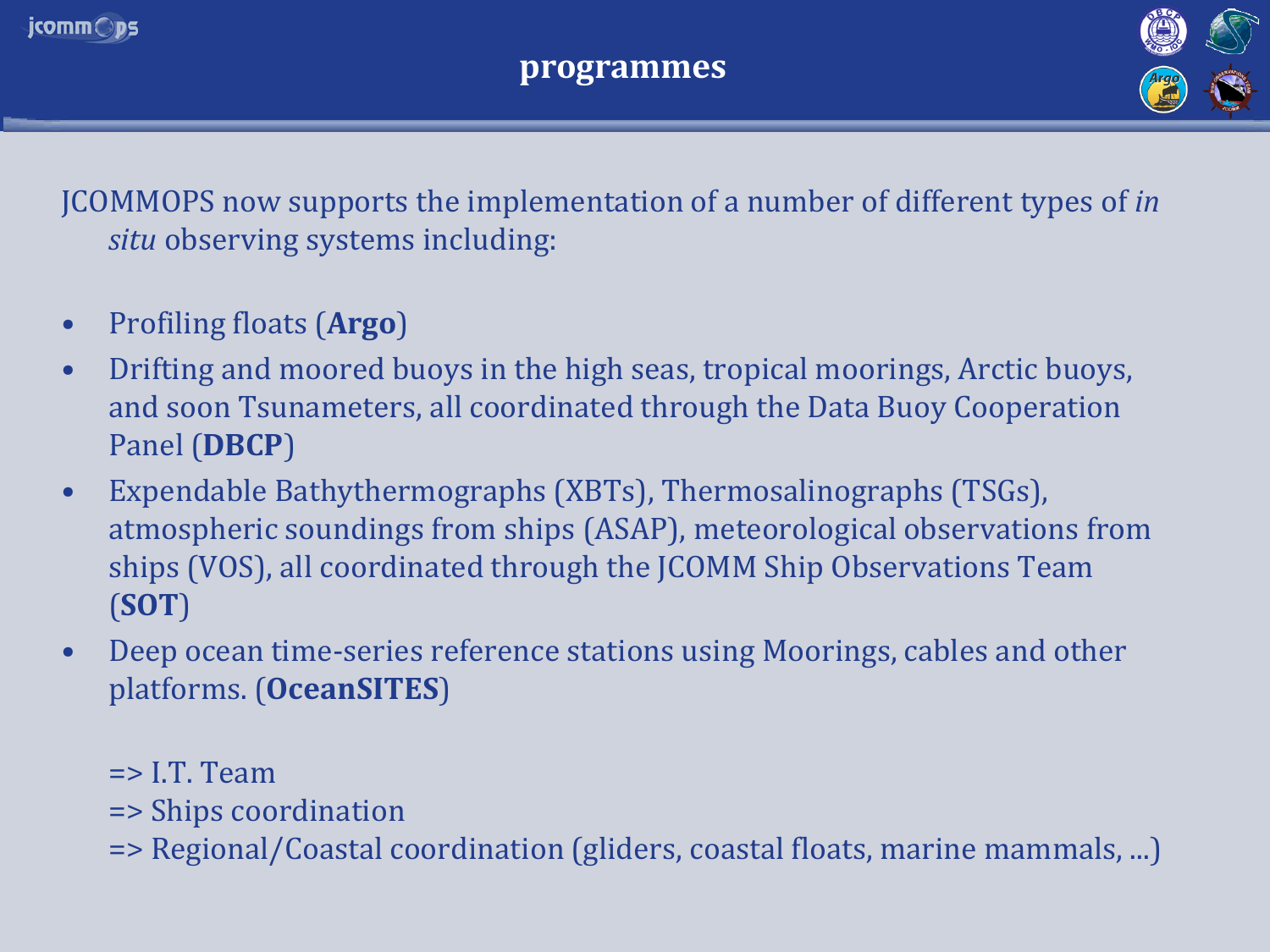

JCOMMOPS now supports the implementation of a number of different types of *in situ* observing systems including:

- Profiling floats (**Argo**)
- Drifting and moored buoys in the high seas, tropical moorings, Arctic buoys, and soon Tsunameters, all coordinated through the Data Buoy Cooperation Panel (**DBCP**)
- Expendable Bathythermographs (XBTs), Thermosalinographs (TSGs), atmospheric soundings from ships (ASAP), meteorological observations from ships (VOS), all coordinated through the JCOMM Ship Observations Team (**SOT**)
- Deep ocean time-series reference stations using Moorings, cables and other platforms. (**OceanSITES**)

 $=$   $\geq$   $LT$ . Team

=> Ships coordination

=> Regional/Coastal coordination (gliders, coastal floats, marine mammals, ...)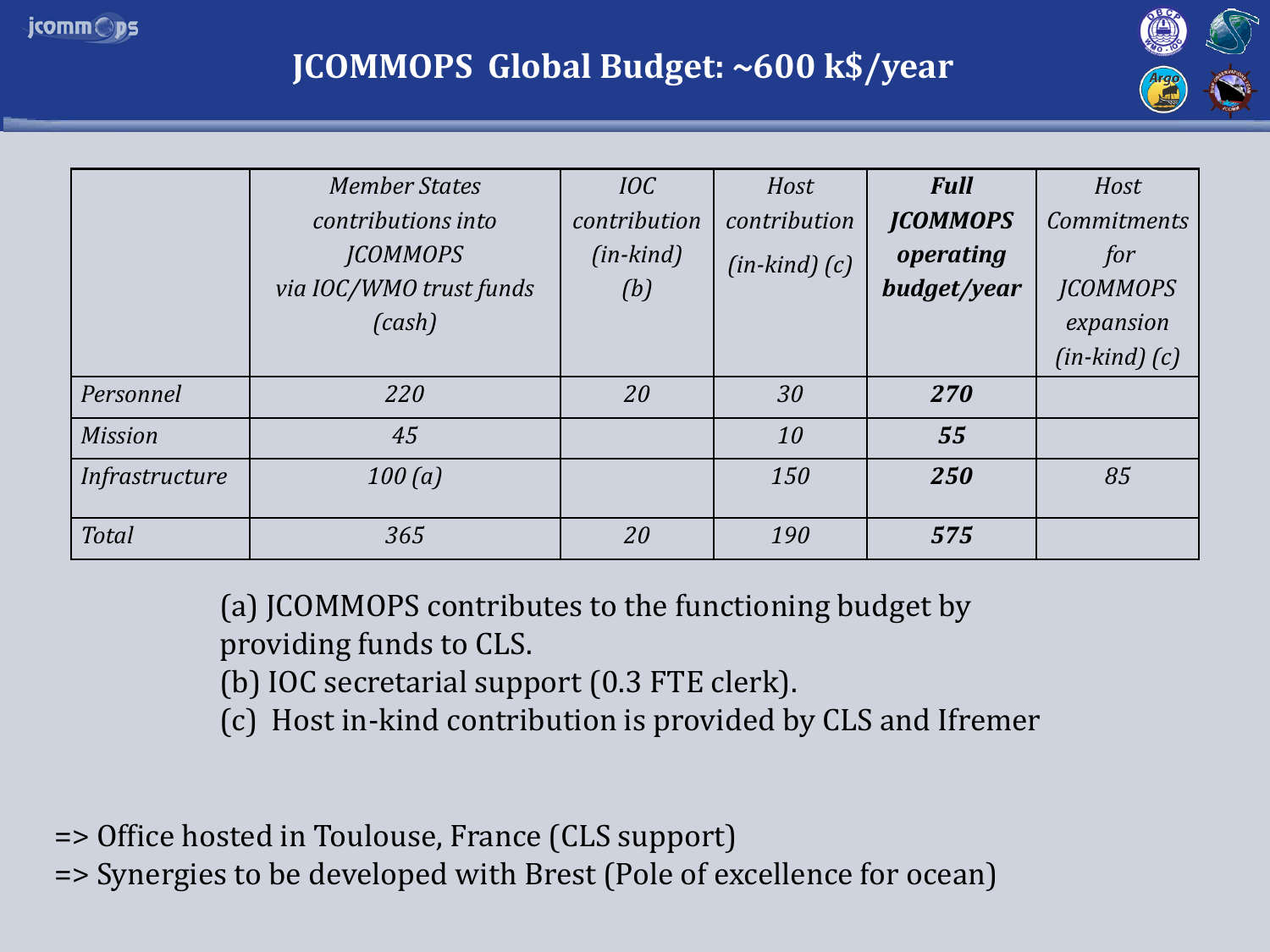

## **JCOMMOPS Global Budget: ~600 k\$/year**



|                       | <b>Member States</b>    | IOC                | Host                     | <b>Full</b>     | Host               |
|-----------------------|-------------------------|--------------------|--------------------------|-----------------|--------------------|
|                       | contributions into      | contribution       | contribution             | <b>JCOMMOPS</b> | <b>Commitments</b> |
|                       | <b>JCOMMOPS</b>         | $(in\text{-}kind)$ | $(in\text{-}kind)$ $(c)$ | operating       | for                |
|                       | via IOC/WMO trust funds | (b)                |                          | budget/year     | <b>JCOMMOPS</b>    |
|                       | (cash)                  |                    |                          |                 | expansion          |
|                       |                         |                    |                          |                 | $(in-kind)$ $(c)$  |
| Personnel             | 220                     | <b>20</b>          | 30                       | 270             |                    |
| <b>Mission</b>        | 45                      |                    | 10                       | 55              |                    |
| <i>Infrastructure</i> | 100(a)                  |                    | <b>150</b>               | 250             | 85                 |
| <b>Total</b>          | 365                     | 20                 | 190                      | 575             |                    |

(a) JCOMMOPS contributes to the functioning budget by

providing funds to CLS.

(b) IOC secretarial support (0.3 FTE clerk).

(c) Host in-kind contribution is provided by CLS and Ifremer

=> Office hosted in Toulouse, France (CLS support)

=> Synergies to be developed with Brest (Pole of excellence for ocean)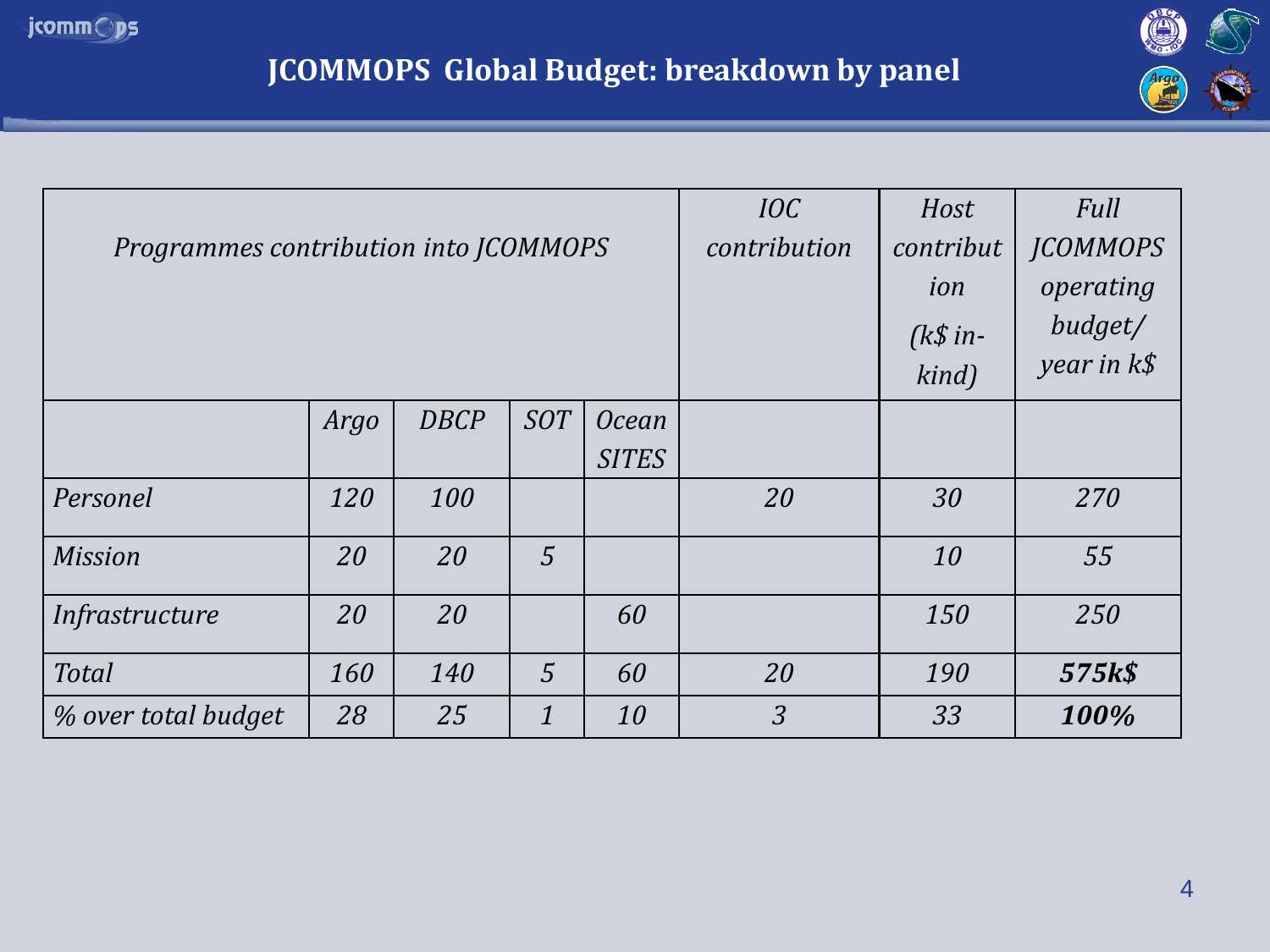| 30          |              |
|-------------|--------------|
| $rac{1}{2}$ | <b>JCOMM</b> |

|                                       |      |             |                     |              | IOC               | Host        | Full            |
|---------------------------------------|------|-------------|---------------------|--------------|-------------------|-------------|-----------------|
| Programmes contribution into JCOMMOPS |      |             |                     |              | contribution      | contribut   | <b>JCOMMOPS</b> |
|                                       |      |             | ion                 | operating    |                   |             |                 |
|                                       |      |             | $(k\sin 1)$         | budget/      |                   |             |                 |
|                                       |      |             |                     |              | $\mathit{kind}$ ) | year in k\$ |                 |
|                                       | Argo | <b>DBCP</b> | <b>SOT</b>          | <i>Ocean</i> |                   |             |                 |
|                                       |      |             |                     | <b>SITES</b> |                   |             |                 |
| Personel                              | 120  | 100         |                     |              | 20                | 30          | 270             |
| <b>Mission</b>                        | 20   | 20          | $\overline{5}$      |              |                   | 10          | 55              |
| <i>Infrastructure</i>                 | 20   | 20          |                     | 60           |                   | 150         | 250             |
| <b>Total</b>                          | 160  | 140         | $\overline{5}$      | 60           | 20                | 190         | 575k\$          |
| % over total budget                   | 28   | 25          | $\boldsymbol{\eta}$ | 10           | $\overline{3}$    | 33          | 100%            |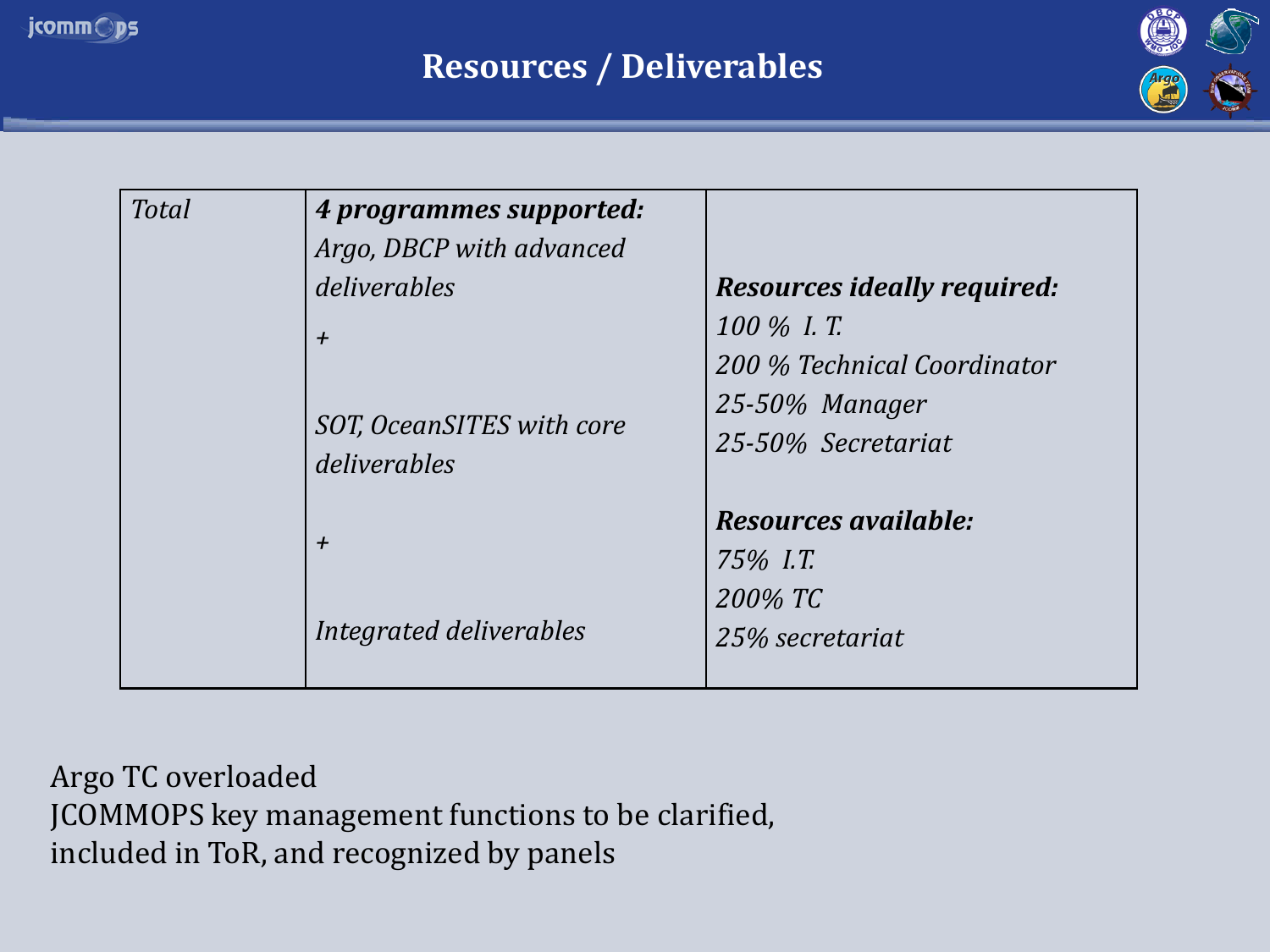



| <b>Total</b> | 4 programmes supported:                   |                                                    |  |  |  |
|--------------|-------------------------------------------|----------------------------------------------------|--|--|--|
|              | Argo, DBCP with advanced                  |                                                    |  |  |  |
|              | deliverables                              | <i>Resources ideally required:</i>                 |  |  |  |
|              | $\overline{+}$                            | $100\%$ I.T.                                       |  |  |  |
|              |                                           | 200 % Technical Coordinator<br>$25 - 50\%$ Manager |  |  |  |
|              |                                           |                                                    |  |  |  |
|              | SOT, OceanSITES with core<br>deliverables | 25-50% Secretariat                                 |  |  |  |
|              |                                           | Resources available:                               |  |  |  |
|              | $\overline{+}$                            | 75\% I.T.                                          |  |  |  |
|              |                                           | 200% TC                                            |  |  |  |
|              | Integrated deliverables                   | 25% secretariat                                    |  |  |  |
|              |                                           |                                                    |  |  |  |

Argo TC overloaded JCOMMOPS key management functions to be clarified, included in ToR, and recognized by panels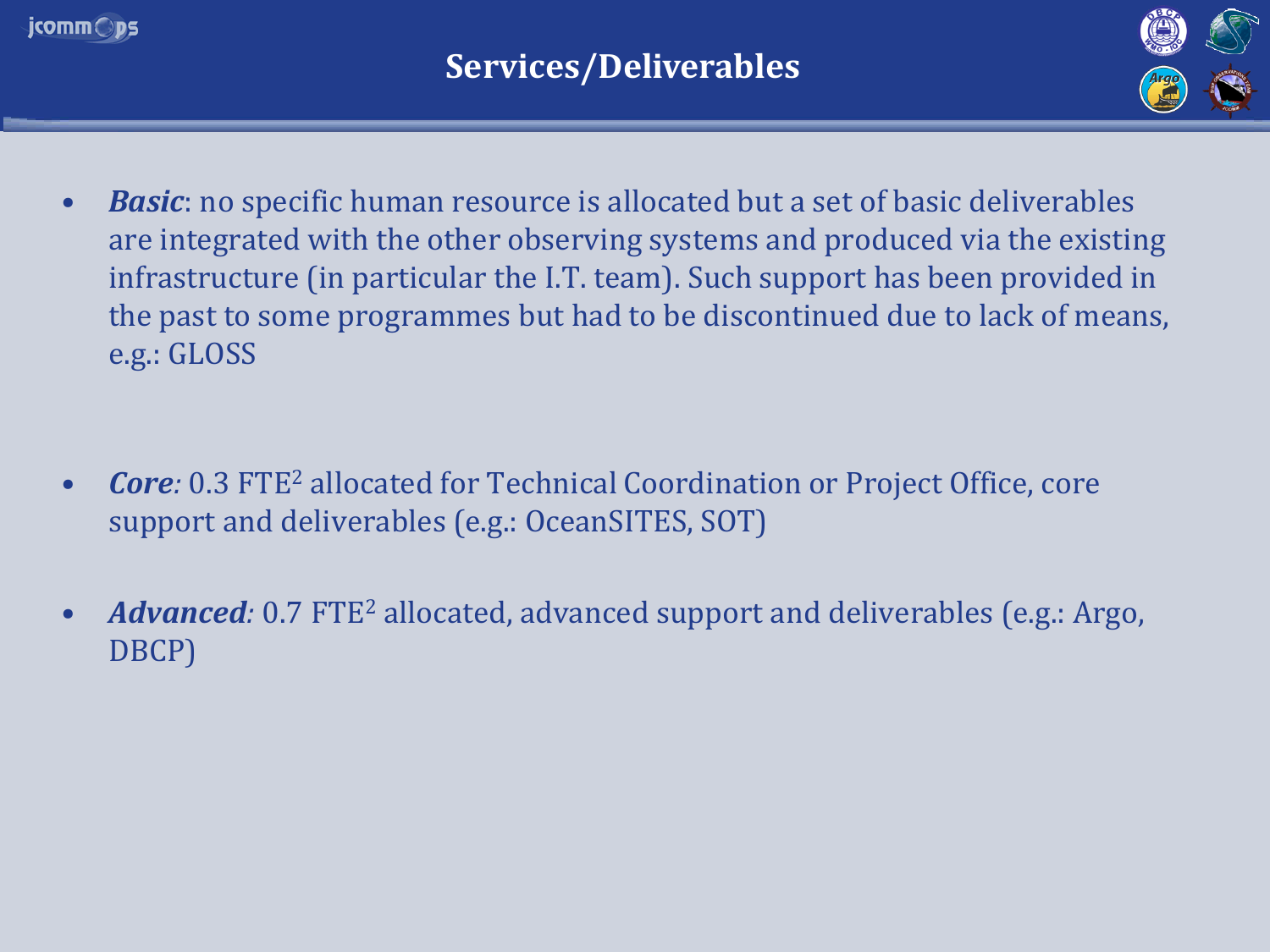



- *Basic*: no specific human resource is allocated but a set of basic deliverables are integrated with the other observing systems and produced via the existing infrastructure (in particular the I.T. team). Such support has been provided in the past to some programmes but had to be discontinued due to lack of means, e.g.: GLOSS
- *Core:* 0.3 FTE<sup>2</sup> allocated for Technical Coordination or Project Office, core support and deliverables (e.g.: OceanSITES, SOT)
- Advanced: 0.7 FTE<sup>2</sup> allocated, advanced support and deliverables (e.g.: Argo, DBCP)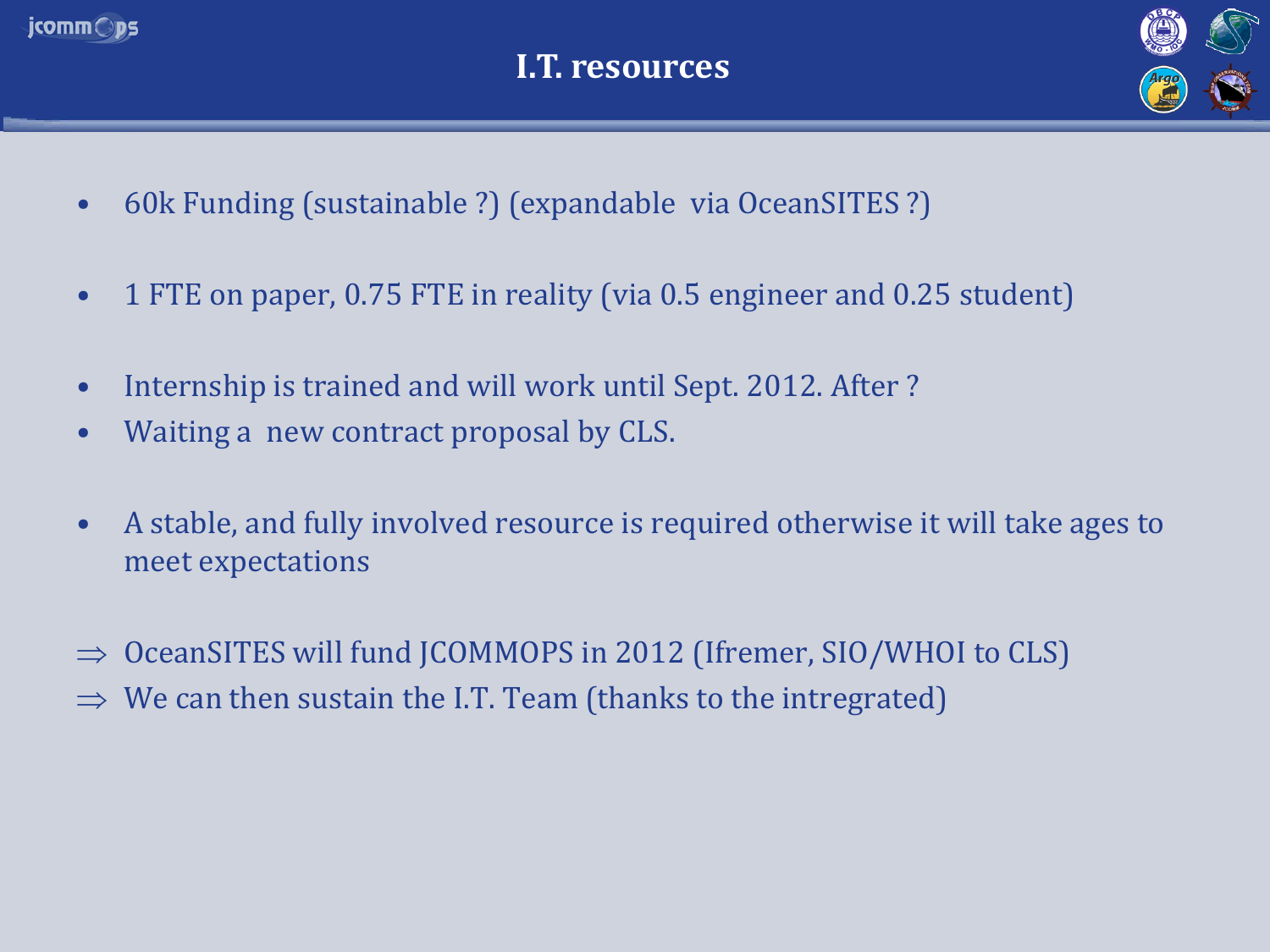



- 60k Funding (sustainable ?) (expandable via OceanSITES ?)
- 1 FTE on paper, 0.75 FTE in reality (via 0.5 engineer and 0.25 student)
- Internship is trained and will work until Sept. 2012. After ?
- Waiting a new contract proposal by CLS.
- A stable, and fully involved resource is required otherwise it will take ages to meet expectations
- OceanSITES will fund JCOMMOPS in 2012 (Ifremer, SIO/WHOI to CLS)
- $\Rightarrow$  We can then sustain the I.T. Team (thanks to the intregrated)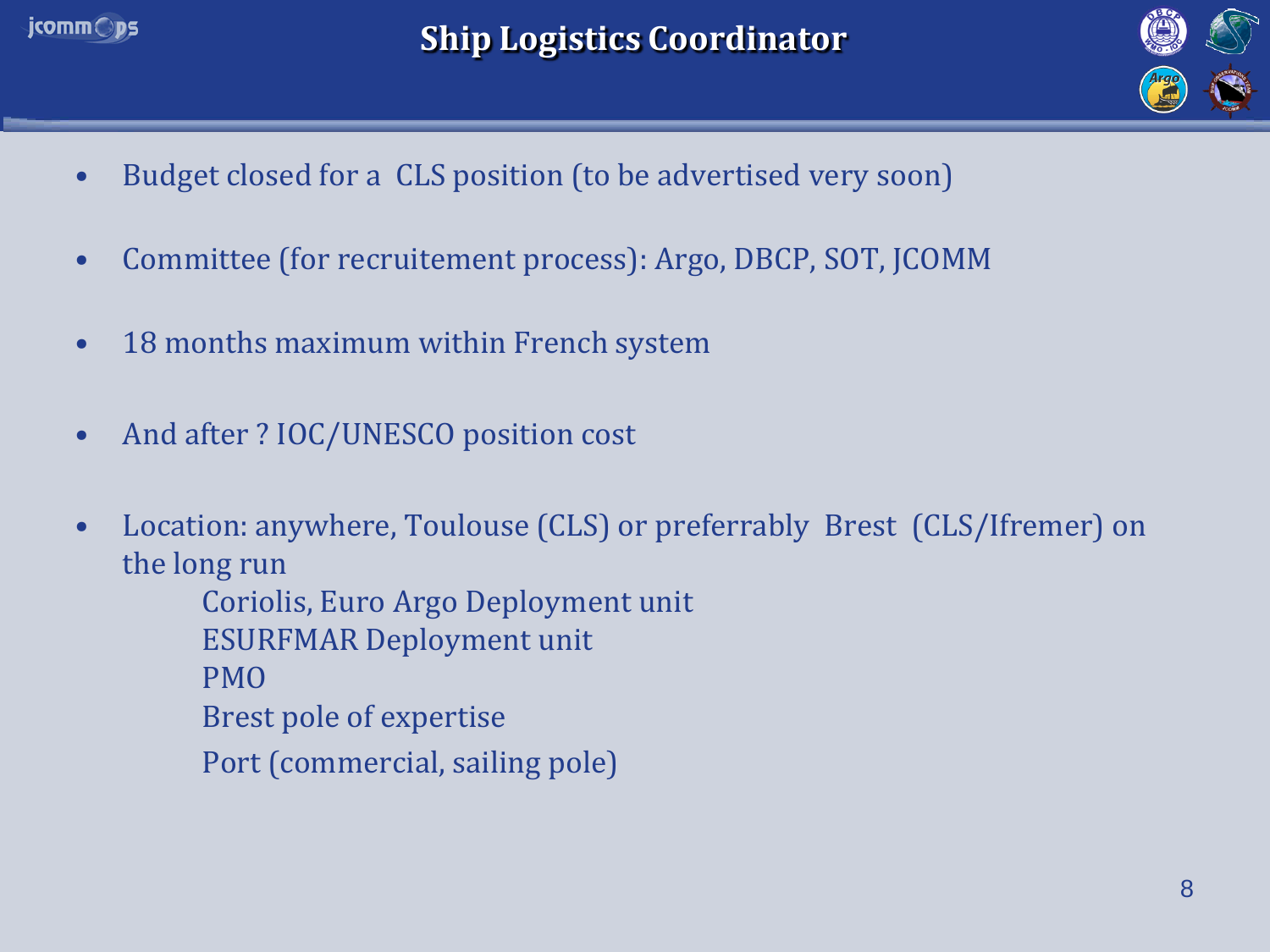



- Budget closed for a CLS position (to be advertised very soon)
- Committee (for recruitement process): Argo, DBCP, SOT, JCOMM
- 18 months maximum within French system
- And after ? IOC/UNESCO position cost
- Location: anywhere, Toulouse (CLS) or preferrably Brest (CLS/Ifremer) on the long run
	- Coriolis, Euro Argo Deployment unit
	- ESURFMAR Deployment unit
	- PMO
	- Brest pole of expertise
	- Port (commercial, sailing pole)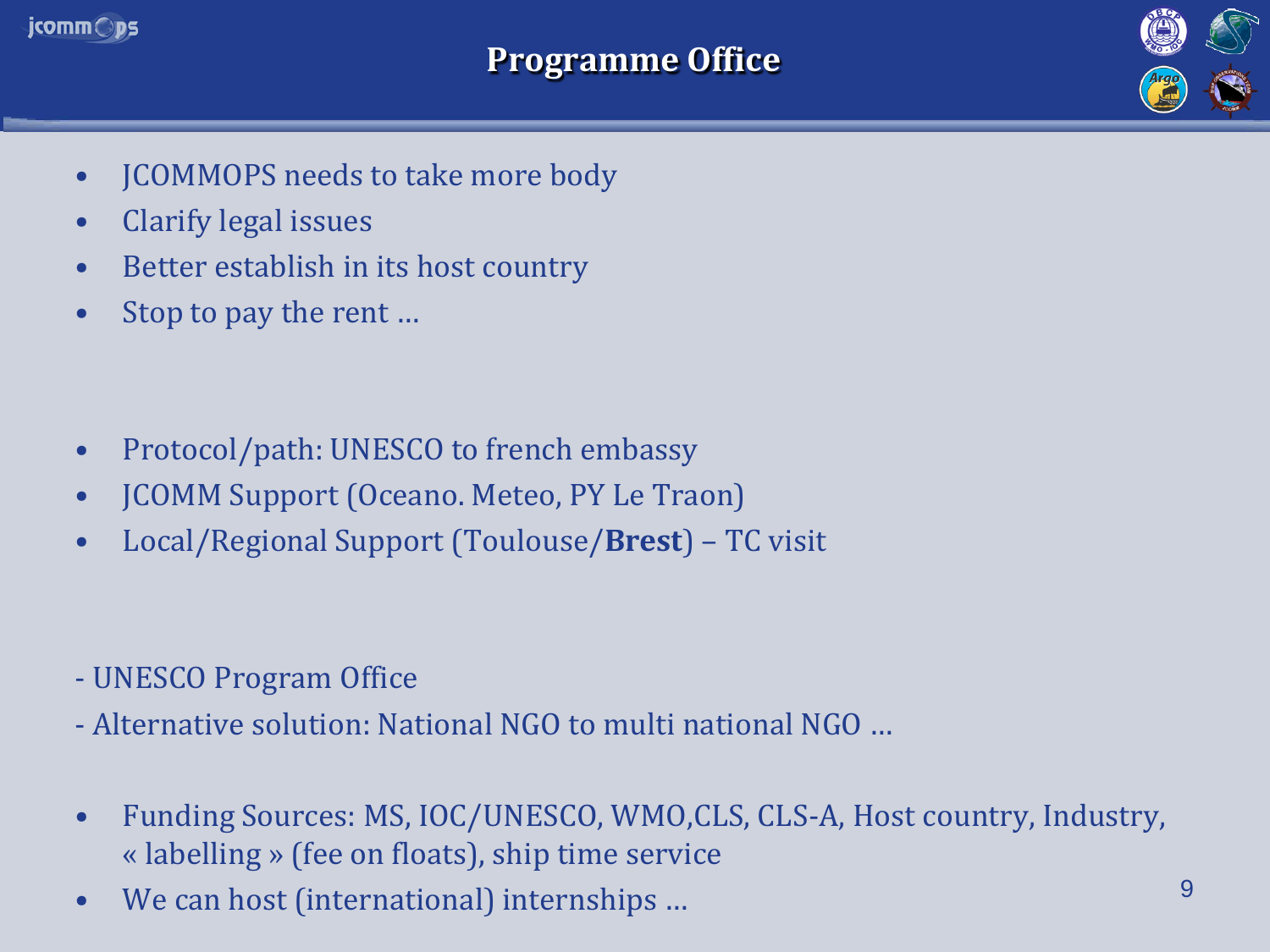

- JCOMMOPS needs to take more body
- Clarify legal issues
- Better establish in its host country
- Stop to pay the rent ...

- Protocol/path: UNESCO to french embassy
- JCOMM Support (Oceano. Meteo, PY Le Traon)
- Local/Regional Support (Toulouse/**Brest**) TC visit
- UNESCO Program Office
- Alternative solution: National NGO to multi national NGO …
- Funding Sources: MS, IOC/UNESCO, WMO,CLS, CLS-A, Host country, Industry, « labelling » (fee on floats), ship time service
- We can host (international) internships ... 9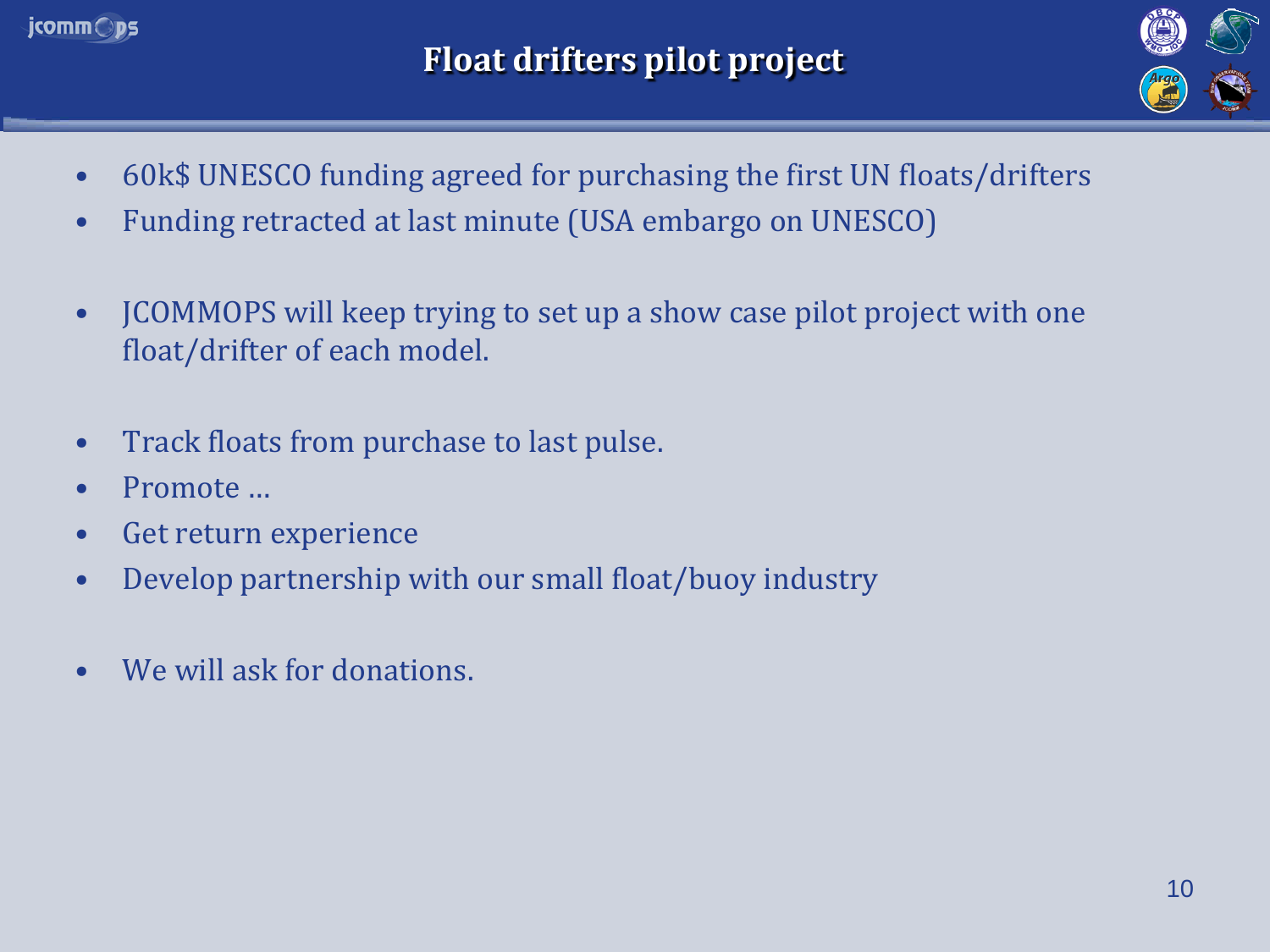



- 60k\$ UNESCO funding agreed for purchasing the first UN floats/drifters
- Funding retracted at last minute (USA embargo on UNESCO)
- JCOMMOPS will keep trying to set up a show case pilot project with one float/drifter of each model.
- Track floats from purchase to last pulse.
- Promote …
- Get return experience
- Develop partnership with our small float/buoy industry
- We will ask for donations.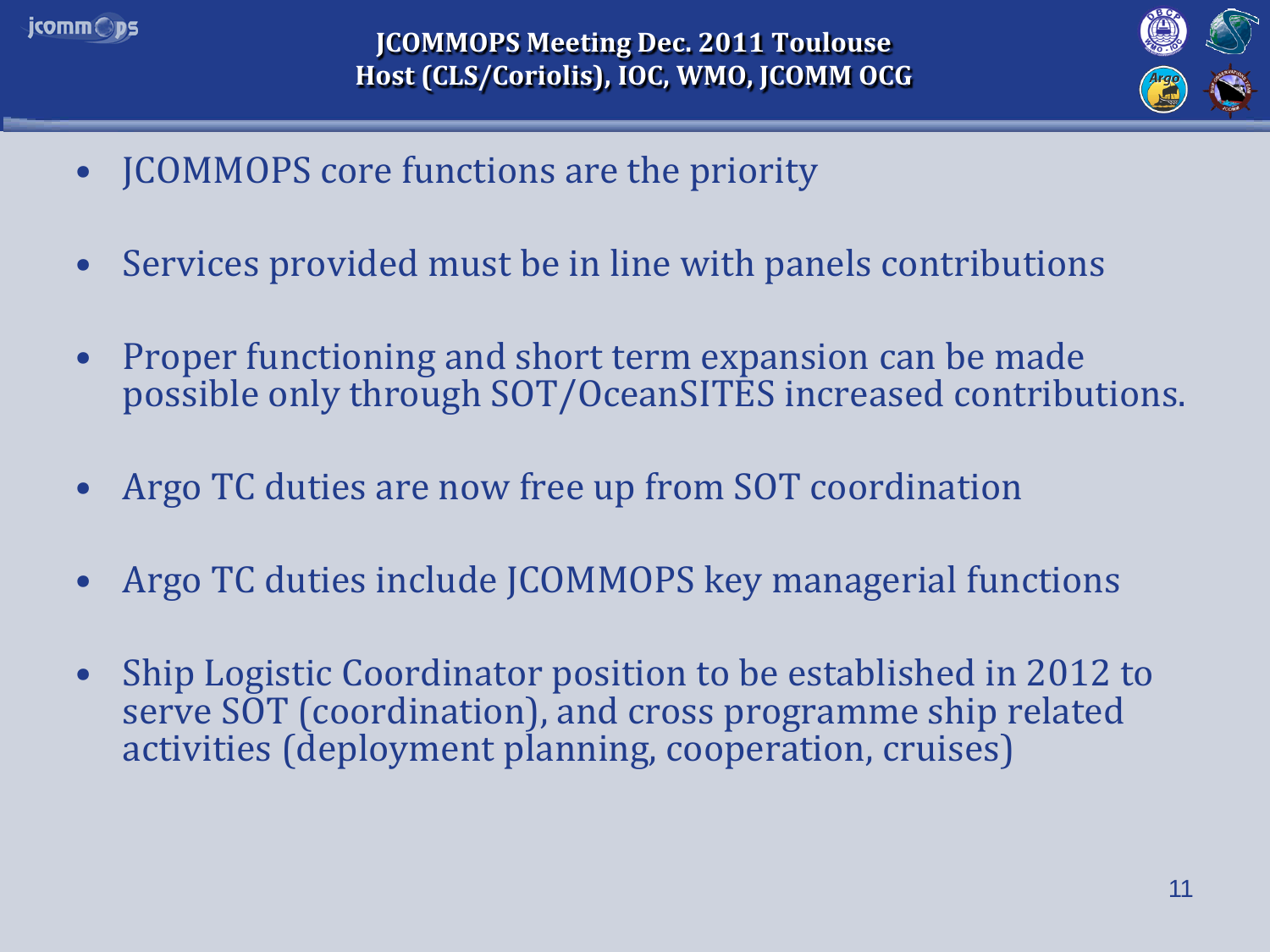



- JCOMMOPS core functions are the priority
- Services provided must be in line with panels contributions
- Proper functioning and short term expansion can be made possible only through SOT/OceanSITES increased contributions.
- Argo TC duties are now free up from SOT coordination
- Argo TC duties include JCOMMOPS key managerial functions
- Ship Logistic Coordinator position to be established in 2012 to serve SOT (coordination), and cross programme ship related activities (deployment planning, cooperation, cruises)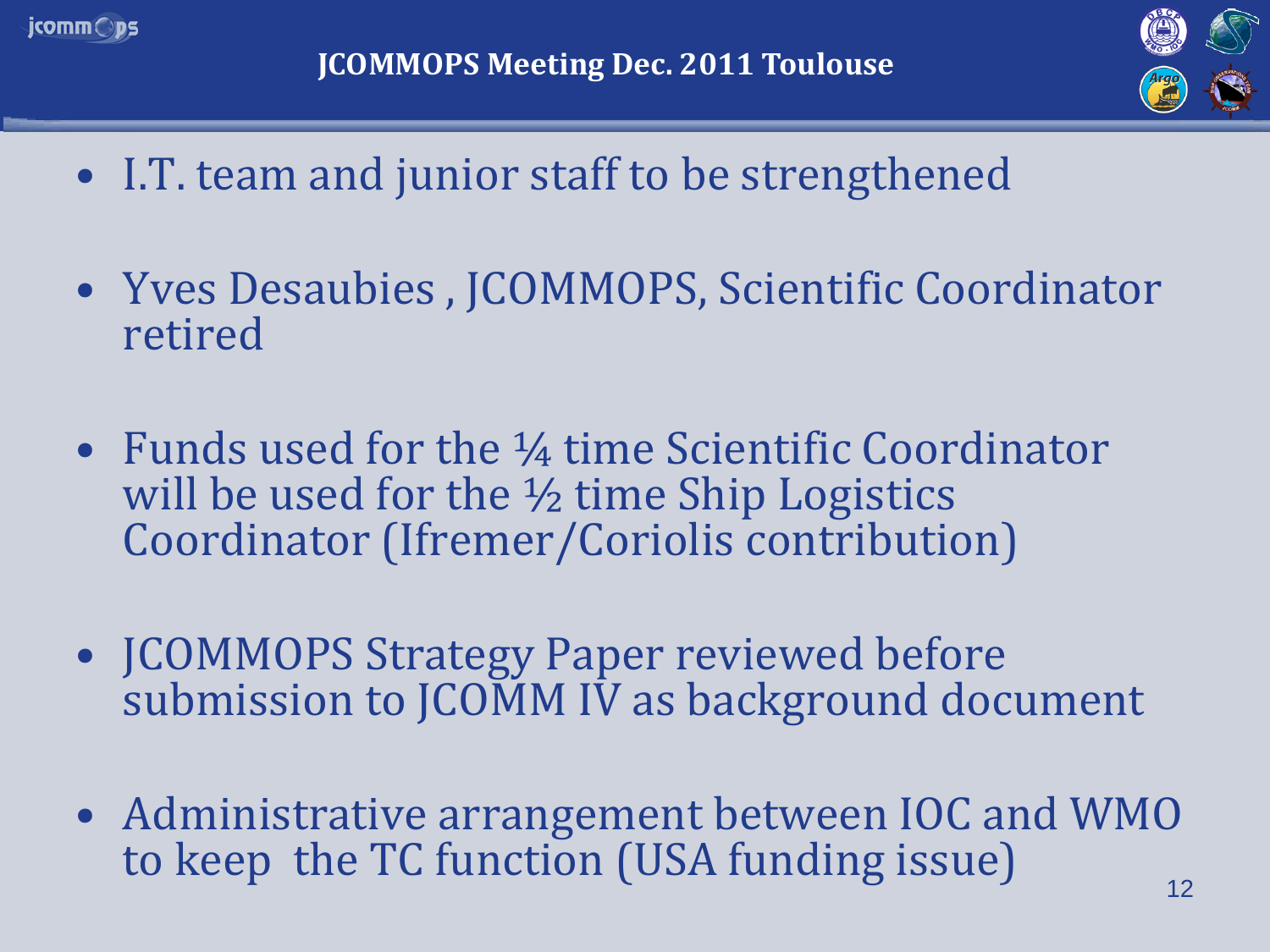



- I.T. team and junior staff to be strengthened
- Yves Desaubies , JCOMMOPS, Scientific Coordinator retired
- Funds used for the ¼ time Scientific Coordinator will be used for the  $\frac{1}{2}$  time Ship Logistics Coordinator (Ifremer/Coriolis contribution)
- JCOMMOPS Strategy Paper reviewed before submission to JCOMM IV as background document
- Administrative arrangement between IOC and WMO to keep the TC function (USA funding issue)